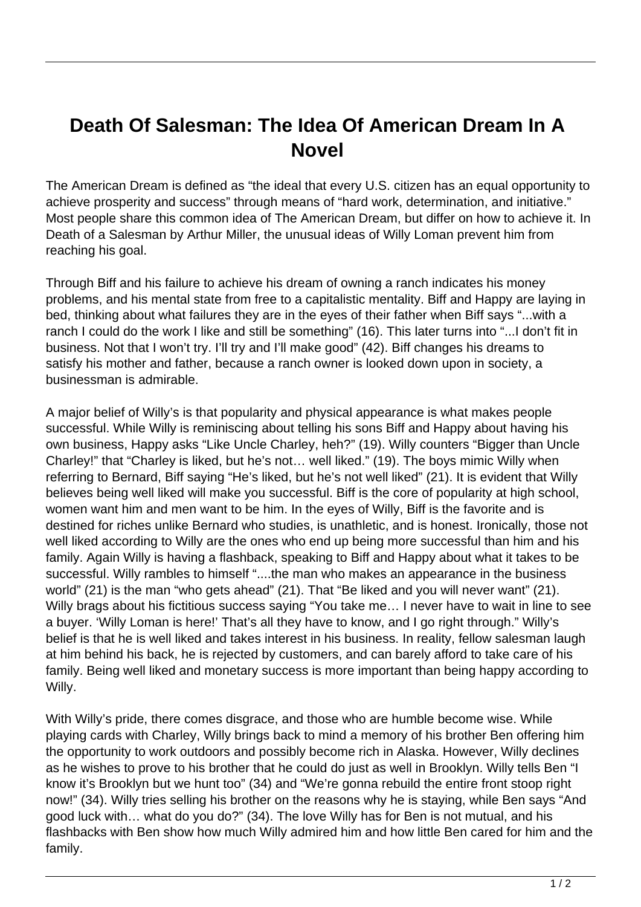## **Death Of Salesman: The Idea Of American Dream In A Novel**

The American Dream is defined as "the ideal that every U.S. citizen has an equal opportunity to achieve prosperity and success" through means of "hard work, determination, and initiative." Most people share this common idea of The American Dream, but differ on how to achieve it. In Death of a Salesman by Arthur Miller, the unusual ideas of Willy Loman prevent him from reaching his goal.

Through Biff and his failure to achieve his dream of owning a ranch indicates his money problems, and his mental state from free to a capitalistic mentality. Biff and Happy are laying in bed, thinking about what failures they are in the eyes of their father when Biff says "...with a ranch I could do the work I like and still be something" (16). This later turns into "...I don't fit in business. Not that I won't try. I'll try and I'll make good" (42). Biff changes his dreams to satisfy his mother and father, because a ranch owner is looked down upon in society, a businessman is admirable.

A major belief of Willy's is that popularity and physical appearance is what makes people successful. While Willy is reminiscing about telling his sons Biff and Happy about having his own business, Happy asks "Like Uncle Charley, heh?" (19). Willy counters "Bigger than Uncle Charley!" that "Charley is liked, but he's not… well liked." (19). The boys mimic Willy when referring to Bernard, Biff saying "He's liked, but he's not well liked" (21). It is evident that Willy believes being well liked will make you successful. Biff is the core of popularity at high school, women want him and men want to be him. In the eyes of Willy, Biff is the favorite and is destined for riches unlike Bernard who studies, is unathletic, and is honest. Ironically, those not well liked according to Willy are the ones who end up being more successful than him and his family. Again Willy is having a flashback, speaking to Biff and Happy about what it takes to be successful. Willy rambles to himself "....the man who makes an appearance in the business world" (21) is the man "who gets ahead" (21). That "Be liked and you will never want" (21). Willy brags about his fictitious success saying "You take me… I never have to wait in line to see a buyer. 'Willy Loman is here!' That's all they have to know, and I go right through." Willy's belief is that he is well liked and takes interest in his business. In reality, fellow salesman laugh at him behind his back, he is rejected by customers, and can barely afford to take care of his family. Being well liked and monetary success is more important than being happy according to Willy.

With Willy's pride, there comes disgrace, and those who are humble become wise. While playing cards with Charley, Willy brings back to mind a memory of his brother Ben offering him the opportunity to work outdoors and possibly become rich in Alaska. However, Willy declines as he wishes to prove to his brother that he could do just as well in Brooklyn. Willy tells Ben "I know it's Brooklyn but we hunt too" (34) and "We're gonna rebuild the entire front stoop right now!" (34). Willy tries selling his brother on the reasons why he is staying, while Ben says "And good luck with… what do you do?" (34). The love Willy has for Ben is not mutual, and his flashbacks with Ben show how much Willy admired him and how little Ben cared for him and the family.